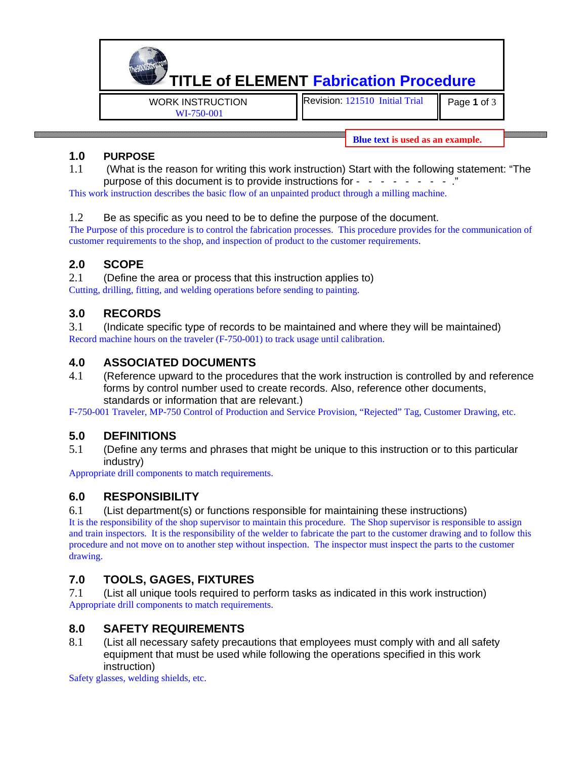**TITLE of ELEMENT Fabrication Procedure**  WORK INSTRUCTION Revision: 121510 Initial Trial Page **1** of 3

WI-750-001

**Blue text is used as an example.** 

#### **1.0 PURPOSE**

1.1 (What is the reason for writing this work instruction) Start with the following statement: "The purpose of this document is to provide instructions for  $\cdot$   $\cdot$ 

This work instruction describes the basic flow of an unpainted product through a milling machine.

#### 1.2 Be as specific as you need to be to define the purpose of the document.

The Purpose of this procedure is to control the fabrication processes. This procedure provides for the communication of customer requirements to the shop, and inspection of product to the customer requirements.

## **2.0 SCOPE**

2.1 (Define the area or process that this instruction applies to) Cutting, drilling, fitting, and welding operations before sending to painting.

## **3.0 RECORDS**

3.1 (Indicate specific type of records to be maintained and where they will be maintained) Record machine hours on the traveler (F-750-001) to track usage until calibration.

#### **4.0 ASSOCIATED DOCUMENTS**

4.1 (Reference upward to the procedures that the work instruction is controlled by and reference forms by control number used to create records. Also, reference other documents, standards or information that are relevant.)

F-750-001 Traveler, MP-750 Control of Production and Service Provision, "Rejected" Tag, Customer Drawing, etc.

## **5.0 DEFINITIONS**

5.1 (Define any terms and phrases that might be unique to this instruction or to this particular industry)

Appropriate drill components to match requirements.

## **6.0 RESPONSIBILITY**

6.1 (List department(s) or functions responsible for maintaining these instructions)

It is the responsibility of the shop supervisor to maintain this procedure. The Shop supervisor is responsible to assign and train inspectors. It is the responsibility of the welder to fabricate the part to the customer drawing and to follow this procedure and not move on to another step without inspection. The inspector must inspect the parts to the customer drawing.

# **7.0 TOOLS, GAGES, FIXTURES**

7.1 (List all unique tools required to perform tasks as indicated in this work instruction) Appropriate drill components to match requirements.

## **8.0 SAFETY REQUIREMENTS**

8.1 (List all necessary safety precautions that employees must comply with and all safety equipment that must be used while following the operations specified in this work instruction)

Safety glasses, welding shields, etc.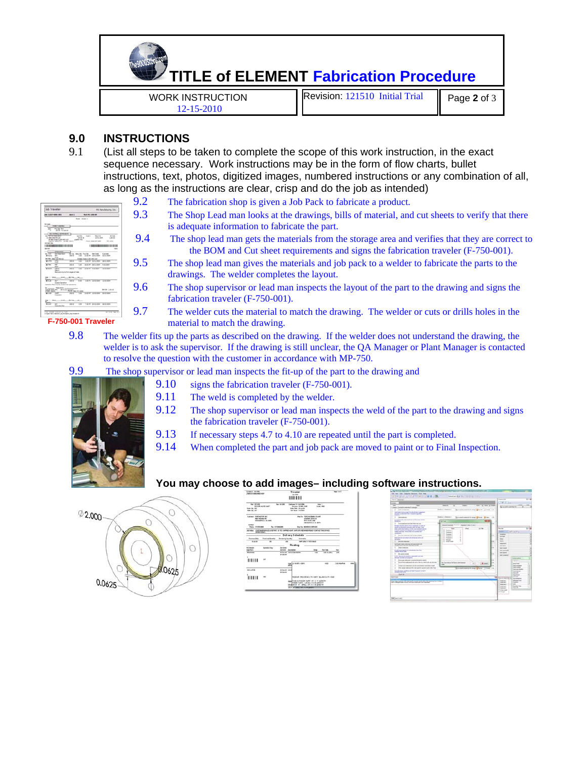

#### **9.0 INSTRUCTIONS**

9.1 (List all steps to be taken to complete the scope of this work instruction, in the exact sequence necessary. Work instructions may be in the form of flow charts, bullet instructions, text, photos, digitized images, numbered instructions or any combination of all, as long as the instructions are clear, crisp and do the job as intended)

| <b>Job Travelier</b>                                                                                                  |                                                      |                                          |                                       |                                                       | Mit Mariuflatkerne, Stel-                  |
|-----------------------------------------------------------------------------------------------------------------------|------------------------------------------------------|------------------------------------------|---------------------------------------|-------------------------------------------------------|--------------------------------------------|
| A STEEP ARES AND                                                                                                      | April 1                                              |                                          | <b>FAIR RTL CRS 600</b>               |                                                       |                                            |
|                                                                                                                       |                                                      | <b>Baddy Kopper &amp;</b>                |                                       |                                                       |                                            |
| <b><i><u>SANCTAEURS</u></i></b><br>Fred Co. Red<br>ı<br>SIX M. PL-USA BY                                              |                                                      |                                          |                                       |                                                       |                                            |
| <b>PEL BEREIGHT</b><br>m<br><b>Dealer all the metro and</b><br>3 Haw (Free) List out told<br><b>Local Mills Photo</b> | <b>Growd Garr</b>                                    | <b>Suite</b><br><b>UNITED</b><br>come do | <b>Suit 10</b>                        | <b>Security</b><br>cards and<br>those likes bet appel | <b>SALUM</b><br>1,692.05<br><b>IN URBS</b> |
| <b>SEED IS</b><br>ш<br>$\cdots$                                                                                       |                                                      |                                          |                                       | 100                                                   | <b>SWIN</b>                                |
| - 11<br>×<br><b>Million</b><br>÷                                                                                      | . .<br>100                                           | m                                        | <b>Industrial Dealer Printed Base</b> | <b>Decision</b><br>LEWIS CO., LANSING MICH.           | <b>Business</b><br><b>BOATLAND</b>         |
| <b>STAR</b><br><b>MERGE</b><br>$\sim$<br><b>All Conce</b><br>ь                                                        |                                                      |                                          | till                                  |                                                       |                                            |
| $\cdots$<br>m.<br>m                                                                                                   |                                                      | 1.0                                      | 14.93.94                              | TANK COMPANY                                          | A PER MAIN                                 |
| 148.6<br>$+ + -$<br><b>SALUT</b>                                                                                      | --<br><b>Bridge or louris Fort stages arrivals</b>   | 14.14                                    | <b>WALLER</b>                         | <b>NORTH CARDS</b>                                    | ---                                        |
| <b>Warry of Bride</b>                                                                                                 | <b>By USA</b>                                        |                                          |                                       |                                                       |                                            |
| s.<br><b><i><u>Substitute</u></i></b><br>March Resumes for summarized patients                                        | m                                                    |                                          |                                       |                                                       |                                            |
| <b><i>SERGER SERGER</i></b><br><b>GENTH ANTICHECO</b>                                                                 | <b>Service</b> in                                    |                                          |                                       |                                                       | <b>AFTH LEEK</b>                           |
| <b>DOM: 2004</b><br>--<br>-2<br><b>Digestor</b>                                                                       | Park (Not kn) 226<br>$-$                             | $\overline{1}$                           | $14.46 +$                             | <b>TANK SHA</b>                                       | $20 - 24$                                  |
| ME J P BIK.<br>$-4.01$                                                                                                | $8.14 -$                                             | $\sim$                                   |                                       |                                                       |                                            |
| سن<br>$+ -$<br>$1 - 4$<br><b><i>International Brid</i></b>                                                            | $-0.44$                                              | 1.16                                     |                                       | T-ALME ARCHIVES                                       | ALC: UNK                                   |
| tions detected to provide a hold's                                                                                    | 1-Tracer Rent-Henrico Jan Rossell in Jan Rossell and |                                          |                                       |                                                       | <b>IN Traveler Page 2-2 to</b>             |

- 9.2 The fabrication shop is given a Job Pack to fabricate a product.
- 9.3 The Shop Lead man looks at the drawings, bills of material, and cut sheets to verify that there is adequate information to fabricate the part.
- 9.4 The shop lead man gets the materials from the storage area and verifies that they are correct to the BOM and Cut sheet requirements and signs the fabrication traveler (F-750-001).
- 9.5 The shop lead man gives the materials and job pack to a welder to fabricate the parts to the drawings. The welder completes the layout.
- 9.6 The shop supervisor or lead man inspects the layout of the part to the drawing and signs the fabrication traveler (F-750-001).
- 9.7 The welder cuts the material to match the drawing. The welder or cuts or drills holes in the material to match the drawing.
- 9.8 The welder fits up the parts as described on the drawing. If the welder does not understand the drawing, the welder is to ask the supervisor. If the drawing is still unclear, the QA Manager or Plant Manager is contacted to resolve the question with the customer in accordance with MP-750.
- 9.9 The shop supervisor or lead man inspects the fit-up of the part to the drawing and
	- 9.10 signs the fabrication traveler (F-750-001).



- 9.11 The weld is completed by the welder.
- 9.12 The shop supervisor or lead man inspects the weld of the part to the drawing and signs the fabrication traveler (F-750-001).
- 9.13 If necessary steps 4.7 to 4.10 are repeated until the part is completed.
- 9.14 When completed the part and job pack are moved to paint or to Final Inspection.

#### **You may choose to add images– including software instructions.**



| 11-Salt 147 Pat<br>JOINTEEE MACHINE SHOP  |                                                                                     |                          |                                           | Traveler<br>Advised                                                                                                                                                        |                                                                                                                  |                         | Page 1 of 5   |      |
|-------------------------------------------|-------------------------------------------------------------------------------------|--------------------------|-------------------------------------------|----------------------------------------------------------------------------------------------------------------------------------------------------------------------------|------------------------------------------------------------------------------------------------------------------|-------------------------|---------------|------|
|                                           |                                                                                     |                          |                                           | 1111111                                                                                                                                                                    |                                                                                                                  |                         |               |      |
| For 18,000<br>tione law 168<br>Fee Dr 201 | <b>BOLLER WALLETING</b>                                                             |                          | <b>Rev: 0 11/65</b>                       | Customer P.D. AA UTRON<br><b>Staging Mileta MAK</b><br><b>Driv Day 15-Ander</b><br>SA Huat States                                                                          |                                                                                                                  | Army 1<br><b>Summer</b> |               |      |
|                                           | Euchany: 7080 salified aut.<br><b>IRAN BELLINA RD</b><br><b>NOMMER &amp; N 1400</b> |                          |                                           |                                                                                                                                                                            | <b>Bay Tr., FORD ALLINES LTD, AUT.</b><br>LEADING DOCK III<br><b>MISSING LANE</b><br><b>INFORMATION IN ANTI-</b> |                         |               |      |
| Contact:                                  | Phone: 111476-0000                                                                  |                          | <b>Pac Integrates</b>                     |                                                                                                                                                                            | <b>Bracht's Indianant Contracts</b>                                                                              |                         |               |      |
|                                           | <b>VALIDIA REGIST</b>                                                               |                          |                                           |                                                                                                                                                                            | Job Hales: CUSTOMER/AVOILE/UNEFROT 16 PCS SHIPPED AGAR, SHIP LIPS REDIRING/MOT CONTACT THE SPINSE                |                         |               |      |
|                                           |                                                                                     |                          |                                           | Delivery Schedule .                                                                                                                                                        |                                                                                                                  |                         |               |      |
| <b>Francisco Date</b>                     |                                                                                     | <b>Promised Gue Kits</b> | <b>Europerg Grantist</b>                  | Commercial                                                                                                                                                                 |                                                                                                                  |                         |               |      |
| 19, 44, 66                                |                                                                                     | $\overline{\phantom{a}}$ | $\equiv$                                  |                                                                                                                                                                            | THE SHILT F FOLDELS                                                                                              |                         |               |      |
| Militarytes<br>Gerifan                    |                                                                                     | <b>Boardon New</b>       | <b>SA RAFE</b>                            | Routing<br><b>SADI SHARM</b>                                                                                                                                               | <b>Mar</b>                                                                                                       | <b>Ballist</b>          | Bat-          |      |
| FRIDAR                                    |                                                                                     |                          | <b>ET-Dec-MD</b>                          | 47-Tex M. Call & Calcrador                                                                                                                                                 | <b>AM</b>                                                                                                        | All Facility            | $-$           |      |
|                                           | MT                                                                                  | ٠                        |                                           |                                                                                                                                                                            |                                                                                                                  |                         |               |      |
|                                           |                                                                                     |                          |                                           | Hardco MORT - 1890<br><b>HOL</b>                                                                                                                                           |                                                                                                                  | 4.00                    | 3.00 May Fast | 4.43 |
| CALL LATHER                               |                                                                                     |                          | <b>Milliam Rd Ld and</b><br><b>ISSNAK</b> |                                                                                                                                                                            |                                                                                                                  |                         |               |      |
| 111111                                    |                                                                                     | 280                      |                                           |                                                                                                                                                                            | RESORT PROGRAM # TE-1007 / BLANKS # TE-1005                                                                      |                         |               |      |
|                                           |                                                                                     |                          |                                           | ment ACE & ROUGH TURN 1 AT X 4" LEND TH<br>Phratijes FLAVA II 24 (SLA, IK 3.79 LENGITIN<br><b>INCESSOR, C., SRILL SPE KILLENSORA</b><br>145<br>AND ATTENDAD TO STATISTICS. |                                                                                                                  |                         |               |      |